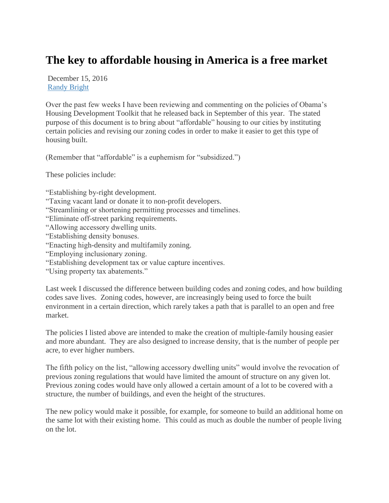## **The key to affordable housing in America is a free market**

December 15, 2016 [Randy Bright](http://tulsabeacon.com/author/randy-bright/)

Over the past few weeks I have been reviewing and commenting on the policies of Obama's Housing Development Toolkit that he released back in September of this year. The stated purpose of this document is to bring about "affordable" housing to our cities by instituting certain policies and revising our zoning codes in order to make it easier to get this type of housing built.

(Remember that "affordable" is a euphemism for "subsidized.")

These policies include:

"Establishing by-right development.

- "Taxing vacant land or donate it to non-profit developers.
- "Streamlining or shortening permitting processes and timelines.
- "Eliminate off-street parking requirements.
- "Allowing accessory dwelling units.
- "Establishing density bonuses.
- "Enacting high-density and multifamily zoning.
- "Employing inclusionary zoning.
- "Establishing development tax or value capture incentives.
- "Using property tax abatements."

Last week I discussed the difference between building codes and zoning codes, and how building codes save lives. Zoning codes, however, are increasingly being used to force the built environment in a certain direction, which rarely takes a path that is parallel to an open and free market.

The policies I listed above are intended to make the creation of multiple-family housing easier and more abundant. They are also designed to increase density, that is the number of people per acre, to ever higher numbers.

The fifth policy on the list, "allowing accessory dwelling units" would involve the revocation of previous zoning regulations that would have limited the amount of structure on any given lot. Previous zoning codes would have only allowed a certain amount of a lot to be covered with a structure, the number of buildings, and even the height of the structures.

The new policy would make it possible, for example, for someone to build an additional home on the same lot with their existing home. This could as much as double the number of people living on the lot.